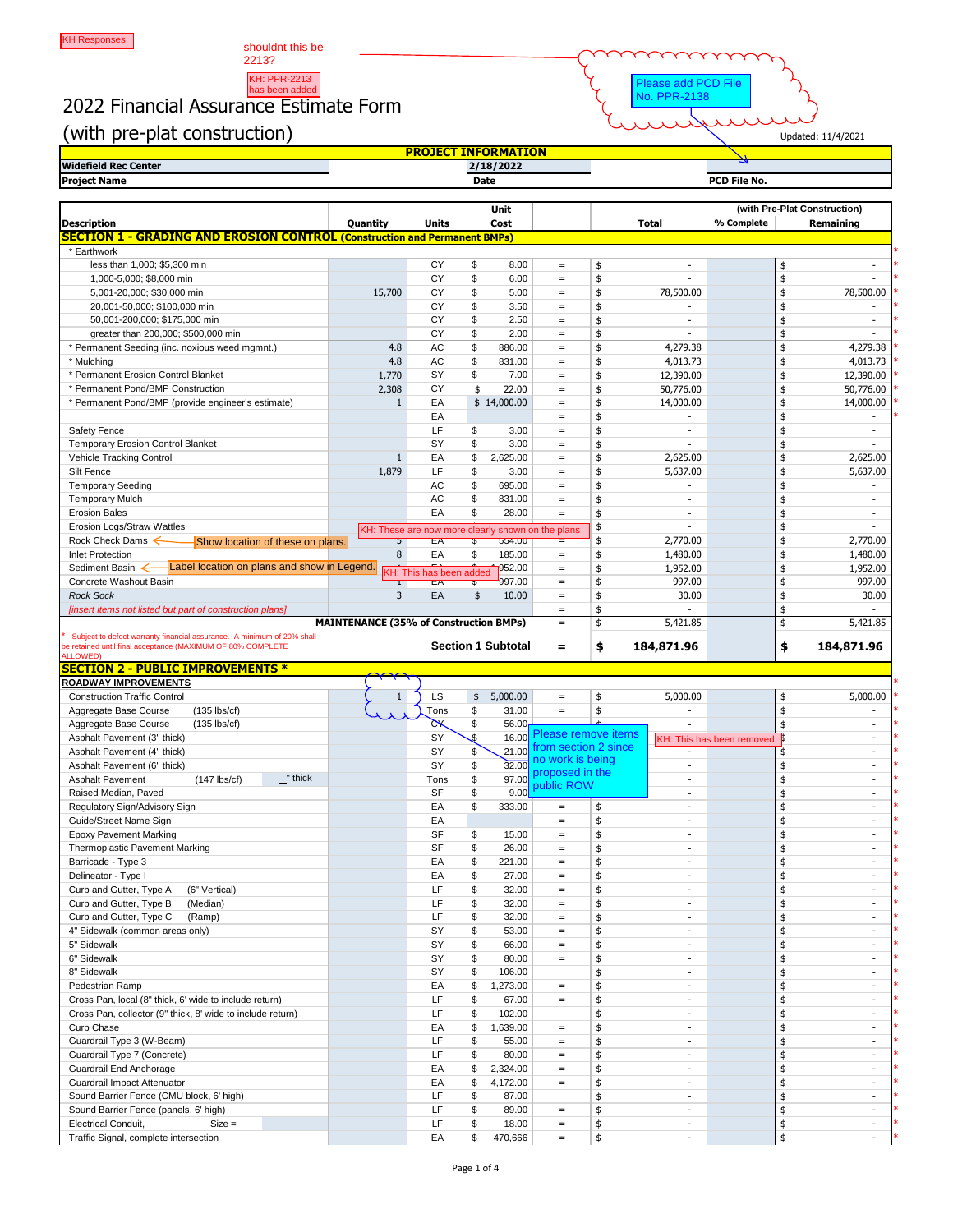shouldnt this be 2213?

## KH: PPR-2213<br>has been added<br>2022 Financial Assurance Estimate Form



(with pre-plat construction)

|--|

|                             | <u>'YKUJEL.</u><br><u>INFORMAIION</u> |                     |
|-----------------------------|---------------------------------------|---------------------|
| <b>Widefield Rec Center</b> | 2/18/2022                             |                     |
| <b>Project Name</b>         | <b>Date</b>                           | <b>PCD File No.</b> |

|                                                                                                                                         |                                               |                                                   |                           | <b>Unit</b>               |                                            |              |                          |                           |               | (with Pre-Plat Construction) |
|-----------------------------------------------------------------------------------------------------------------------------------------|-----------------------------------------------|---------------------------------------------------|---------------------------|---------------------------|--------------------------------------------|--------------|--------------------------|---------------------------|---------------|------------------------------|
| <b>Description</b>                                                                                                                      | Quantity                                      | <b>Units</b>                                      |                           | Cost                      |                                            | <b>Total</b> |                          | % Complete                |               | <b>Remaining</b>             |
| <b>SECTION 1 - GRADING AND EROSION CONTROL (Construction and Permanent BMPs)</b>                                                        |                                               |                                                   |                           |                           |                                            |              |                          |                           |               |                              |
| * Earthwork                                                                                                                             |                                               |                                                   |                           |                           |                                            |              |                          |                           |               |                              |
| less than 1,000; \$5,300 min                                                                                                            |                                               | <b>CY</b>                                         | \$                        | 8.00                      | $=$                                        | \$           |                          |                           | \$            |                              |
| 1,000-5,000; \$8,000 min                                                                                                                |                                               | <b>CY</b>                                         | \$                        | 6.00                      | $=$                                        | \$           |                          |                           | \$            |                              |
| 5,001-20,000; \$30,000 min                                                                                                              | 15,700                                        | <b>CY</b>                                         | \$                        | 5.00                      | $=$                                        | \$           | 78,500.00                |                           | \$            | 78,500.00                    |
| 20,001-50,000; \$100,000 min                                                                                                            |                                               | <b>CY</b>                                         | $\mathfrak{S}$            | 3.50                      | $=$                                        | \$           |                          |                           |               |                              |
| 50,001-200,000; \$175,000 min                                                                                                           |                                               | <b>CY</b>                                         | \$                        | 2.50                      | $=$                                        | \$           |                          |                           | \$            |                              |
| greater than 200,000; \$500,000 min                                                                                                     |                                               | <b>CY</b>                                         | \$                        | 2.00                      | $=$                                        | \$           |                          |                           | \$            |                              |
| * Permanent Seeding (inc. noxious weed mgmnt.)                                                                                          | 4.8                                           | <b>AC</b>                                         | \$                        | 886.00                    | $=$                                        | \$           | 4,279.38                 |                           | \$            | 4,279.38                     |
| * Mulching                                                                                                                              | 4.8                                           | <b>AC</b>                                         | \$                        | 831.00                    | $=$                                        | \$           | 4,013.73                 |                           | \$            | 4,013.73                     |
| * Permanent Erosion Control Blanket                                                                                                     | 1,770                                         | SY                                                | \$                        | 7.00                      | $=$                                        | \$           | 12,390.00                |                           | \$            | 12,390.00                    |
| * Permanent Pond/BMP Construction                                                                                                       | 2,308                                         | <b>CY</b>                                         | \$                        | 22.00                     | $=$                                        | \$           | 50,776.00                |                           | \$            | 50,776.00                    |
| * Permanent Pond/BMP (provide engineer's estimate)                                                                                      |                                               | EA                                                |                           | \$14,000.00               | $=$                                        | \$           | 14,000.00                |                           | \$            | 14,000.00                    |
|                                                                                                                                         |                                               | EA                                                |                           |                           | $=$                                        |              |                          |                           | \$            |                              |
| <b>Safety Fence</b>                                                                                                                     |                                               | LF                                                | \$                        | 3.00                      | $=$                                        | \$           |                          |                           | \$            |                              |
| <b>Temporary Erosion Control Blanket</b>                                                                                                |                                               | SY                                                | \$                        | 3.00                      | $=$                                        |              |                          |                           |               |                              |
| Vehicle Tracking Control                                                                                                                |                                               | EA                                                | \$                        | 2,625.00                  | $=$                                        |              | 2,625.00                 |                           | \$            | 2,625.00                     |
| Silt Fence                                                                                                                              | 1,879                                         | LF                                                | \$                        | 3.00                      | $=$                                        | \$           | 5,637.00                 |                           | \$            | 5,637.00                     |
| <b>Temporary Seeding</b>                                                                                                                |                                               | <b>AC</b>                                         | \$                        | 695.00                    | $=$                                        |              |                          |                           | \$            |                              |
| <b>Temporary Mulch</b>                                                                                                                  |                                               | <b>AC</b>                                         | \$                        | 831.00                    | $=$                                        | \$           |                          |                           | \$            |                              |
| <b>Erosion Bales</b>                                                                                                                    |                                               | EA                                                | \$                        | 28.00                     | $=$                                        | \$           |                          |                           | \$            |                              |
| <b>Erosion Logs/Straw Wattles</b>                                                                                                       |                                               | KH: These are now more clearly shown on the plans |                           |                           |                                            |              |                          |                           | \$            |                              |
| Rock Check Dams $\leftarrow$<br>Show location of these on plans.                                                                        |                                               | ΈÄ                                                |                           | 554.00                    | Ξ                                          |              | 2,770.00                 |                           | \$            | 2,770.00                     |
| <b>Inlet Protection</b>                                                                                                                 | 8                                             | EA                                                | \$                        | 185.00                    | $=$                                        | \$           | 1,480.00                 |                           | \$            | 1,480.00                     |
| Label location on plans and show in Legend.<br>Sediment Basin $\leftarrow$                                                              |                                               | KH: This has been added                           |                           | 1952.00                   | $=$                                        | \$           | 1,952.00                 |                           | \$            | 1,952.00                     |
| Concrete Washout Basin                                                                                                                  |                                               | ЕA                                                | ড                         | 997.00                    | $=$                                        |              | 997.00                   |                           | \$            | 997.00                       |
| <b>Rock Sock</b>                                                                                                                        | 3                                             | EA                                                | \$                        | 10.00                     | $=$                                        |              | 30.00                    |                           | \$            | 30.00                        |
| [insert items not listed but part of construction plans]                                                                                |                                               |                                                   |                           |                           | $=$                                        |              |                          |                           |               |                              |
|                                                                                                                                         | <b>MAINTENANCE (35% of Construction BMPs)</b> |                                                   |                           |                           | $=$                                        | \$           | 5,421.85                 |                           | \$            | 5,421.85                     |
| - Subject to defect warranty financial assurance. A minimum of 20% shall<br>be retained until final acceptance (MAXIMUM OF 80% COMPLETE |                                               |                                                   |                           | <b>Section 1 Subtotal</b> | $\equiv$                                   | \$           | 184,871.96               |                           | \$            | 184,871.96                   |
| <b>ALLOWED)</b>                                                                                                                         |                                               |                                                   |                           |                           |                                            |              |                          |                           |               |                              |
| <b>SECTION 2 - PUBLIC IMPROVEMENTS *</b>                                                                                                |                                               |                                                   |                           |                           |                                            |              |                          |                           |               |                              |
| <b>ROADWAY IMPROVEMENTS</b>                                                                                                             |                                               |                                                   |                           |                           |                                            |              |                          |                           |               |                              |
| <b>Construction Traffic Control</b>                                                                                                     | $\mathbf{1}$                                  | LS                                                | \$                        | 5,000.00                  | $=$                                        | \$           | 5,000.00                 |                           | \$            | 5,000.00                     |
| Aggregate Base Course<br>$(135$ lbs/cf)                                                                                                 |                                               | Tons                                              | $\boldsymbol{\mathsf{S}}$ | 31.00                     | $=$                                        |              |                          |                           |               |                              |
| Aggregate Base Course<br>$(135$ lbs/cf)                                                                                                 |                                               | $\alpha$                                          | \$                        | 56.00                     |                                            |              |                          |                           |               |                              |
| Asphalt Pavement (3" thick)                                                                                                             |                                               | SY                                                | .\$                       | 16.00                     | Please remove items<br>rom section 2 since |              |                          | KH: This has been removed |               |                              |
| Asphalt Pavement (4" thick)                                                                                                             |                                               | SY                                                | \$                        | 21.00                     | no work is being                           |              |                          |                           |               |                              |
| Asphalt Pavement (6" thick)                                                                                                             |                                               | SY                                                | \$                        | 32.00                     | proposed in the                            |              |                          |                           |               |                              |
| "thick<br><b>Asphalt Pavement</b><br>$(147$ lbs/cf)                                                                                     |                                               | Tons                                              | \$                        | 97.00                     | public ROW                                 |              |                          |                           |               |                              |
| Raised Median, Paved                                                                                                                    |                                               | <b>SF</b>                                         | \$                        | 9.00                      |                                            |              |                          |                           |               |                              |
| Regulatory Sign/Advisory Sign                                                                                                           |                                               | EA                                                | \$                        | 333.00                    | $=$                                        | \$           |                          |                           |               |                              |
| Guide/Street Name Sign                                                                                                                  |                                               | EA                                                |                           |                           | $=$                                        |              |                          |                           |               |                              |
| <b>Epoxy Pavement Marking</b>                                                                                                           |                                               | <b>SF</b>                                         | \$                        | 15.00                     | $=$                                        |              |                          |                           | \$            |                              |
| Thermoplastic Pavement Marking                                                                                                          |                                               | <b>SF</b>                                         | \$                        | 26.00                     | $=$                                        |              |                          |                           |               |                              |
| Barricade - Type 3                                                                                                                      |                                               | EA                                                | \$                        | 221.00                    | $=$                                        |              |                          |                           |               |                              |
| Delineator - Type I                                                                                                                     |                                               | EA                                                | \$                        | 27.00                     | $=$                                        |              |                          |                           |               |                              |
| Curb and Gutter, Type A<br>(6" Vertical)                                                                                                |                                               | LF                                                | \$                        | 32.00                     | $=$                                        |              |                          |                           |               |                              |
| Curb and Gutter, Type B<br>(Median)                                                                                                     |                                               | LF                                                | \$                        | 32.00                     | $=$                                        |              |                          |                           |               |                              |
| Curb and Gutter, Type C<br>(Ramp)                                                                                                       |                                               | LF                                                | \$                        | 32.00                     | $=$                                        |              |                          |                           |               |                              |
| 4" Sidewalk (common areas only)                                                                                                         |                                               | SY                                                | \$                        | 53.00                     | $=$                                        |              |                          |                           |               |                              |
| 5" Sidewalk                                                                                                                             |                                               | SY                                                | \$                        | 66.00                     | $=$                                        |              |                          |                           |               |                              |
| 6" Sidewalk                                                                                                                             |                                               | SY                                                | \$                        | 80.00                     | $=$                                        |              |                          |                           |               |                              |
| 8" Sidewalk                                                                                                                             |                                               | SY                                                | \$                        | 106.00                    |                                            |              |                          |                           |               |                              |
| Pedestrian Ramp                                                                                                                         |                                               | EA                                                | \$                        | 1,273.00                  | $=$                                        |              |                          |                           |               |                              |
| Cross Pan, local (8" thick, 6' wide to include return)                                                                                  |                                               | LF                                                | \$                        | 67.00                     | $=$                                        |              |                          |                           |               |                              |
| Cross Pan, collector (9" thick, 8' wide to include return)                                                                              |                                               | LF                                                | \$                        | 102.00                    |                                            |              |                          |                           |               |                              |
| <b>Curb Chase</b>                                                                                                                       |                                               | EA                                                | \$                        | 1,639.00                  | $=$                                        |              |                          |                           |               |                              |
| Guardrail Type 3 (W-Beam)                                                                                                               |                                               | LF                                                |                           | 55.00                     | $=$                                        |              |                          |                           |               |                              |
| Guardrail Type 7 (Concrete)                                                                                                             |                                               |                                                   |                           | 80.00                     |                                            |              |                          |                           |               |                              |
|                                                                                                                                         |                                               | LF                                                |                           |                           | =                                          |              |                          |                           |               |                              |
| <b>Guardrail End Anchorage</b>                                                                                                          |                                               | EA                                                | \$                        | 2,324.00                  | $=$                                        |              |                          |                           |               | $\overline{\phantom{a}}$     |
| Guardrail Impact Attenuator                                                                                                             |                                               | EA                                                | \$                        | 4,172.00                  | $=$                                        |              |                          |                           |               |                              |
| Sound Barrier Fence (CMU block, 6' high)                                                                                                |                                               | LF                                                | \$                        | 87.00                     |                                            |              | $\overline{\phantom{a}}$ |                           | \$            |                              |
| Sound Barrier Fence (panels, 6' high)                                                                                                   |                                               | LF                                                | \$                        | 89.00                     | $=$                                        |              | $\sim$                   |                           |               | $\sim$                       |
| <b>Electrical Conduit,</b><br>$Size =$<br>Traffic Signal, complete intersection                                                         |                                               | LF                                                | \$                        | 18.00                     | $=$                                        |              |                          |                           | \$            | $\sim$                       |
|                                                                                                                                         |                                               | EA                                                | \$                        | 470,666                   | $=$                                        | \$           |                          |                           | $\frac{1}{2}$ |                              |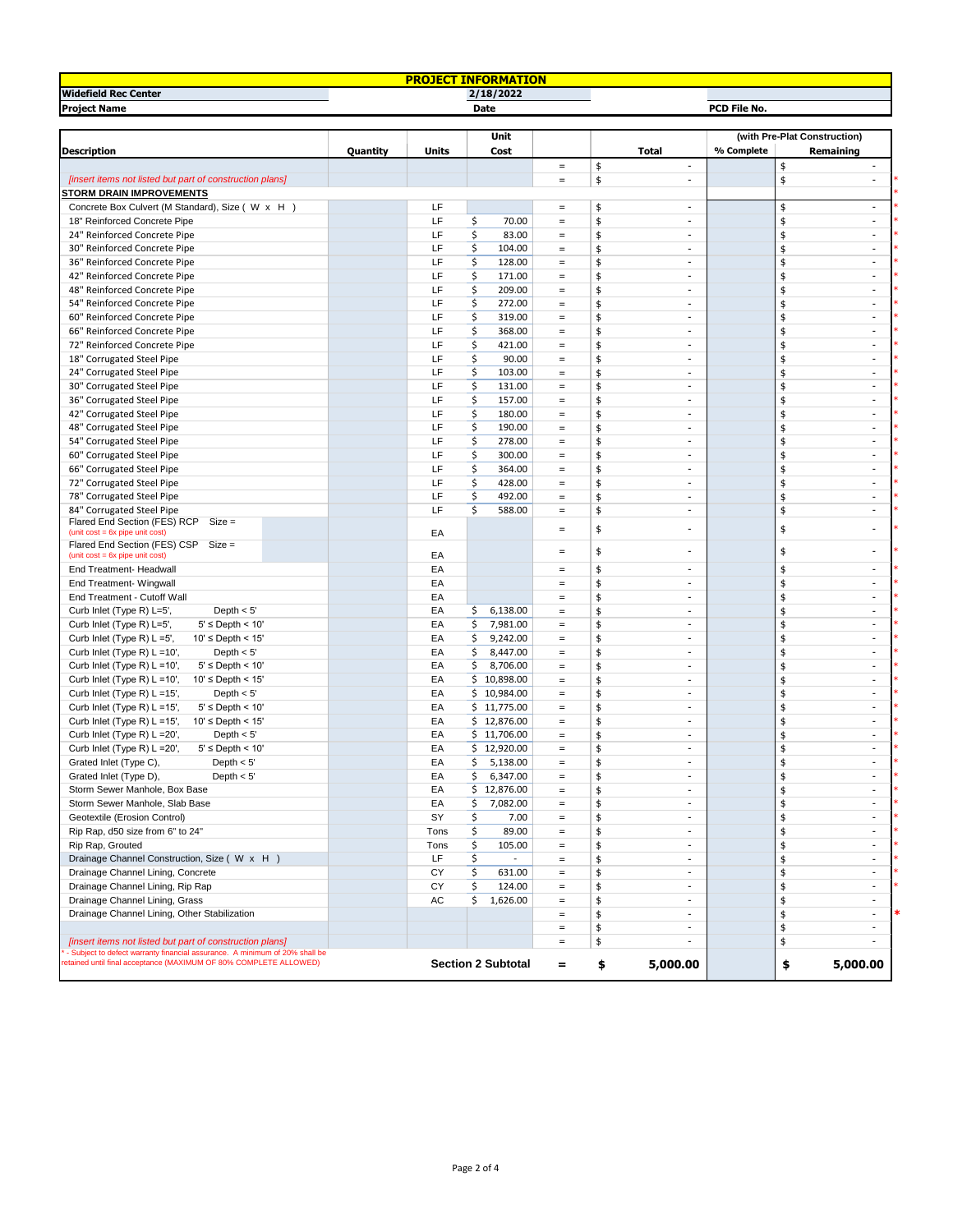| <b>BAATTABI</b><br><b>ORMA</b><br><b>DJEC.</b><br><u>i Ion</u> |             |                     |  |  |  |  |  |  |  |
|----------------------------------------------------------------|-------------|---------------------|--|--|--|--|--|--|--|
| <b>Widefield Rec Center</b>                                    | 2/18/2022   |                     |  |  |  |  |  |  |  |
| <b>Project Name</b>                                            | <b>Date</b> | <b>PCD File No.</b> |  |  |  |  |  |  |  |

|                                                                                                                                                 |          |              | Unit                      |            |                                     |            | (with Pre-Plat Construction) |  |
|-------------------------------------------------------------------------------------------------------------------------------------------------|----------|--------------|---------------------------|------------|-------------------------------------|------------|------------------------------|--|
| <b>Description</b>                                                                                                                              | Quantity | <b>Units</b> | <b>Cost</b>               |            | <b>Total</b>                        | % Complete | <b>Remaining</b>             |  |
|                                                                                                                                                 |          |              |                           | $=$        | \$<br>$\sim$                        |            | $\frac{1}{2}$                |  |
| [insert items not listed but part of construction plans]                                                                                        |          |              |                           | $=$        | \$                                  |            |                              |  |
| <b>STORM DRAIN IMPROVEMENTS</b>                                                                                                                 |          |              |                           |            |                                     |            |                              |  |
| Concrete Box Culvert (M Standard), Size ( W x H)                                                                                                |          | LF           |                           | $=$        | \$<br>$\overline{\phantom{a}}$      |            |                              |  |
| 18" Reinforced Concrete Pipe                                                                                                                    |          | LF           | \$<br>70.00               | $=$        | \$<br>-                             |            |                              |  |
| 24" Reinforced Concrete Pipe                                                                                                                    |          | LF           | Ś.<br>83.00               | $=$        | \$<br>۰.                            |            |                              |  |
| 30" Reinforced Concrete Pipe                                                                                                                    |          | LF           | 104.00                    | $=$        | \$<br>۰                             |            | $\blacksquare$               |  |
| 36" Reinforced Concrete Pipe                                                                                                                    |          | LF           | 128.00                    | $=$        | \$<br>$\overline{\phantom{a}}$      |            | $\sim$                       |  |
| 42" Reinforced Concrete Pipe                                                                                                                    |          | LF           | 171.00                    | $=$        | $\overline{\phantom{0}}$            |            | $\overline{\phantom{a}}$     |  |
| 48" Reinforced Concrete Pipe                                                                                                                    |          | LF           | 209.00                    | $=$        | \$<br>$\overline{\phantom{a}}$      |            |                              |  |
| 54" Reinforced Concrete Pipe                                                                                                                    |          | LF           | Ś<br>272.00               | $=$        | \$<br>$\overline{\phantom{a}}$      |            |                              |  |
| 60" Reinforced Concrete Pipe                                                                                                                    |          | LF           | 319.00                    | $=$        | \$<br>۰                             |            |                              |  |
| 66" Reinforced Concrete Pipe                                                                                                                    |          | LF           | Ś.<br>368.00              | $=$        | \$<br>۰                             |            |                              |  |
| 72" Reinforced Concrete Pipe                                                                                                                    |          | LF           | 421.00                    | $=$        | ۰                                   |            |                              |  |
| 18" Corrugated Steel Pipe                                                                                                                       |          | LF           | 90.00                     | $=$        | \$<br>$\overline{\phantom{a}}$      |            |                              |  |
| 24" Corrugated Steel Pipe                                                                                                                       |          | LF           | 103.00                    | $=$        | ۰                                   |            |                              |  |
| 30" Corrugated Steel Pipe                                                                                                                       |          | LF           | 131.00                    | $=$        | \$<br>-                             |            |                              |  |
| 36" Corrugated Steel Pipe                                                                                                                       |          | LF           | 157.00                    | $=$        | $\overline{\phantom{0}}$            |            |                              |  |
| 42" Corrugated Steel Pipe                                                                                                                       |          | LF           | 180.00                    | $=$        | ۰                                   |            |                              |  |
| 48" Corrugated Steel Pipe                                                                                                                       |          | LF           | 190.00                    | $=$        | \$<br>۰                             |            | $\overline{\phantom{a}}$     |  |
| 54" Corrugated Steel Pipe                                                                                                                       |          | LF           | 278.00                    | $=$        | ۰.                                  |            | $\blacksquare$               |  |
| 60" Corrugated Steel Pipe                                                                                                                       |          | LF           | 300.00                    | $=$        | -                                   |            | $\overline{\phantom{a}}$     |  |
| 66" Corrugated Steel Pipe                                                                                                                       |          | LF           | 364.00                    | $=$        |                                     |            |                              |  |
| 72" Corrugated Steel Pipe                                                                                                                       |          | LF           | 428.00                    | $=$        | $\overline{\phantom{a}}$<br>\$<br>۰ |            |                              |  |
| 78" Corrugated Steel Pipe                                                                                                                       |          | LF           | 492.00                    |            | \$                                  |            |                              |  |
|                                                                                                                                                 |          | LF           |                           | $=$        | ۰                                   |            |                              |  |
| 84" Corrugated Steel Pipe<br>Flared End Section (FES) RCP<br>$Size =$<br>$(unit cost = 6x pipe unit cost)$                                      |          | EA           | 588.00                    | $=$<br>$=$ | \$<br>۰<br>\$                       |            | $\sim$                       |  |
| Flared End Section (FES) CSP Size =                                                                                                             |          |              |                           |            |                                     |            |                              |  |
| $(unit cost = 6x pipe unit cost)$                                                                                                               |          | EA           |                           | $=$        |                                     |            |                              |  |
| <b>End Treatment- Headwall</b>                                                                                                                  |          | EA           |                           | $=$        | \$<br>$\overline{\phantom{a}}$      |            | $\overline{\phantom{a}}$     |  |
| End Treatment- Wingwall                                                                                                                         |          | EA           |                           | $=$        | $\overline{\phantom{0}}$            |            |                              |  |
| End Treatment - Cutoff Wall                                                                                                                     |          | EA           |                           | $=$        | \$<br>$\overline{\phantom{a}}$      |            |                              |  |
| Curb Inlet (Type R) L=5',<br>Depth $< 5'$                                                                                                       |          | EA           | 6,138.00<br>Ś             | $=$        | \$<br>$\overline{\phantom{0}}$      |            |                              |  |
| Curb Inlet (Type R) L=5',<br>$5' \leq$ Depth < 10'                                                                                              |          | EA           | 7,981.00                  | $=$        | \$<br>۰                             |            |                              |  |
| Curb Inlet (Type R) L =5',<br>$10' \leq$ Depth < 15'                                                                                            |          | EA           | 9,242.00                  | $=$        | \$<br>۰                             |            |                              |  |
| Curb Inlet (Type R) $L = 10'$ ,<br>Depth $< 5'$                                                                                                 |          | EA           | 8,447.00                  | $=$        | \$<br>$\overline{\phantom{a}}$      |            | $\sim$                       |  |
| $5' \leq$ Depth < 10'<br>Curb Inlet (Type R) L =10',                                                                                            |          | EA           | 8,706.00                  | $=$        | \$<br>$\overline{\phantom{a}}$      |            |                              |  |
| Curb Inlet (Type R) $L = 10$ ',<br>$10' \leq$ Depth < 15'                                                                                       |          | EA           | \$10,898.00               | $\equiv$   | $\sim$                              |            | $\blacksquare$               |  |
| Curb Inlet (Type R) L =15',<br>Depth $< 5'$                                                                                                     |          | EA           | \$10,984.00               | $=$        | \$<br>$\overline{\phantom{a}}$      |            | $\blacksquare$               |  |
| Curb Inlet (Type R) L =15',<br>$5' \le$ Depth < 10'                                                                                             |          | EA           | \$11,775.00               | $=$        | \$<br>$\overline{\phantom{0}}$      |            |                              |  |
| Curb Inlet (Type R) L =15',<br>$10' \leq$ Depth < 15'                                                                                           |          | EA           | \$12,876.00               | $=$        | \$<br>۰                             |            | $\sim$                       |  |
| Curb Inlet (Type R) L = 20',<br>Depth $< 5'$                                                                                                    |          | EA           | \$11,706.00               | $=$        | \$<br>۰                             |            | $\sim$                       |  |
| Curb Inlet (Type R) L = 20',<br>$5' \leq$ Depth < 10'                                                                                           |          | EA           | \$12,920.00               | $=$        | ۰.                                  |            | $\overline{\phantom{a}}$     |  |
| Grated Inlet (Type C),<br>Depth $< 5'$                                                                                                          |          | EA           | 5,138.00                  | $=$        | \$<br>-                             |            |                              |  |
| Grated Inlet (Type D),<br>Depth $< 5'$                                                                                                          |          | EA           | 6,347.00                  |            | \$<br>$\sim$                        |            | $\blacksquare$               |  |
|                                                                                                                                                 |          | EA           |                           | $=$        |                                     |            |                              |  |
| Storm Sewer Manhole, Box Base                                                                                                                   |          |              | \$12,876.00               | $=$        | \$<br>-                             |            | $\blacksquare$               |  |
| Storm Sewer Manhole, Slab Base                                                                                                                  |          | EA           | 7,082.00                  | $=$        | \$<br>-                             |            |                              |  |
| Geotextile (Erosion Control)                                                                                                                    |          | SY           | 7.00                      | $=$        | \$<br>$\overline{\phantom{a}}$      |            | $\sim$                       |  |
| Rip Rap, d50 size from 6" to 24"                                                                                                                |          | Tons         | 89.00                     | $=$        | \$<br>$\overline{\phantom{a}}$      |            | $\sim$                       |  |
| Rip Rap, Grouted                                                                                                                                |          | Tons         | 105.00                    | $=$        | ۰.                                  |            | $\overline{\phantom{a}}$     |  |
| Drainage Channel Construction, Size (W x H)                                                                                                     |          | LF           |                           | $=$        | \$<br>$\overline{\phantom{a}}$      |            |                              |  |
| Drainage Channel Lining, Concrete                                                                                                               |          | <b>CY</b>    | 631.00                    | $=$        | \$<br>۰.                            |            |                              |  |
| Drainage Channel Lining, Rip Rap                                                                                                                |          | <b>CY</b>    | 124.00                    | $=$        | \$<br>$\overline{\phantom{0}}$      |            | $\overline{\phantom{a}}$     |  |
| Drainage Channel Lining, Grass                                                                                                                  |          | <b>AC</b>    | 1,626.00                  | $=$        | \$<br>-                             |            | $\sim$                       |  |
| Drainage Channel Lining, Other Stabilization                                                                                                    |          |              |                           | $=$        | $\overline{\phantom{0}}$            |            | $\blacksquare$               |  |
|                                                                                                                                                 |          |              |                           | $=$        | \$<br>۰                             |            | \$                           |  |
| [insert items not listed but part of construction plans]                                                                                        |          |              |                           | $=$        | \$<br>$\overline{\phantom{0}}$      |            |                              |  |
| - Subject to defect warranty financial assurance. A minimum of 20% shall be<br>etained until final acceptance (MAXIMUM OF 80% COMPLETE ALLOWED) |          |              | <b>Section 2 Subtotal</b> | $=$        | 5,000.00<br>\$                      |            | 5,000.00<br>\$               |  |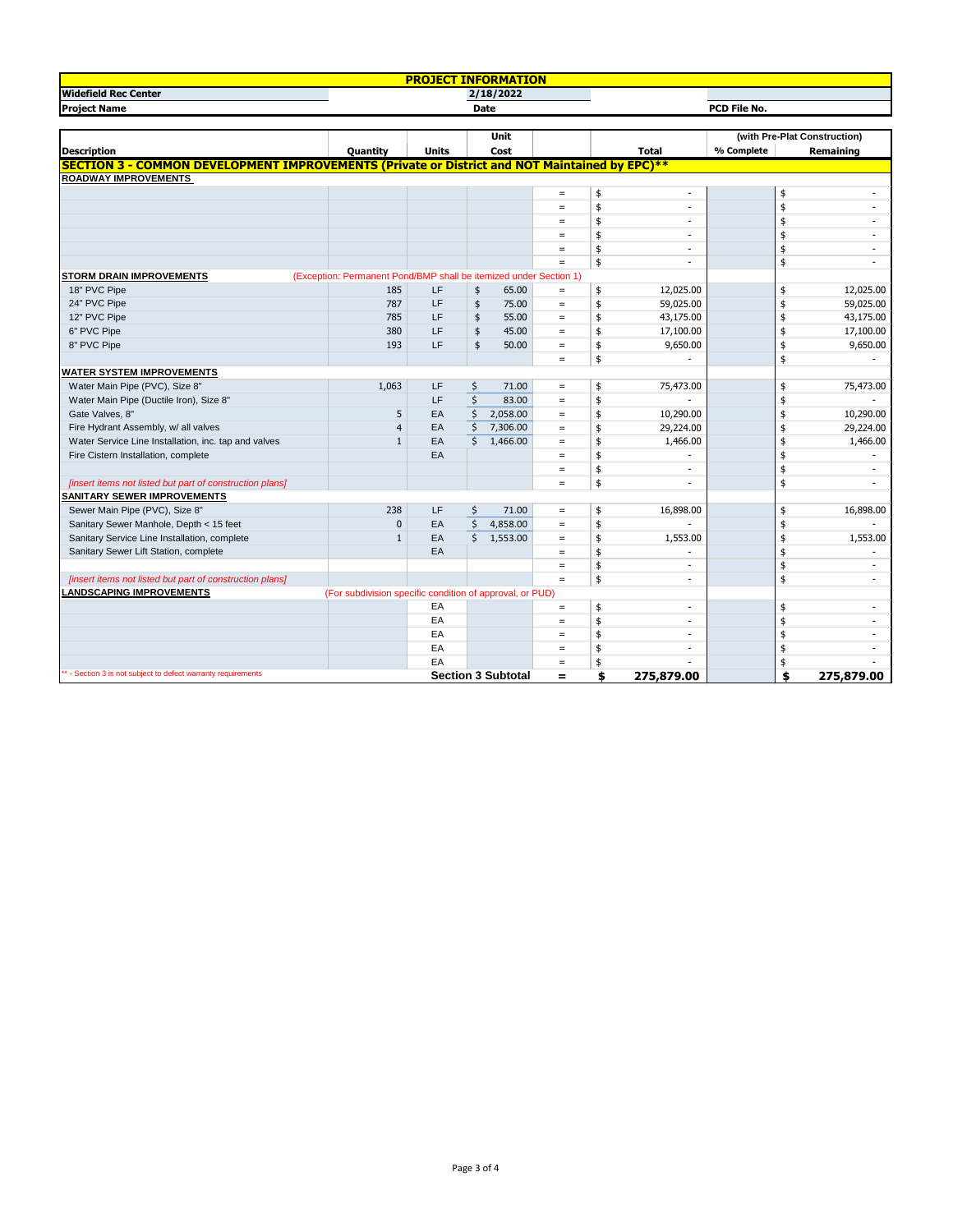| <b>ADIANTALI</b><br><b>PROJECT INFO</b><br>ORMA<br>TON<br><b>SING</b> |             |                     |  |  |  |  |  |  |  |
|-----------------------------------------------------------------------|-------------|---------------------|--|--|--|--|--|--|--|
| <b>Widefield Rec Center</b>                                           |             |                     |  |  |  |  |  |  |  |
| <b>Project Name</b>                                                   | <b>Date</b> | <b>PCD File No.</b> |  |  |  |  |  |  |  |

|                                                                                                      |                                                                   |              | <b>Unit</b> |                           |     |               |                          | (with Pre-Plat Construction) |    |                          |
|------------------------------------------------------------------------------------------------------|-------------------------------------------------------------------|--------------|-------------|---------------------------|-----|---------------|--------------------------|------------------------------|----|--------------------------|
| <b>Description</b>                                                                                   | Quantity                                                          | <b>Units</b> |             | <b>Cost</b>               |     |               | <b>Total</b>             | % Complete                   |    | Remaining                |
| <b>SECTION 3 - COMMON DEVELOPMENT IMPROVEMENTS (Private or District and NOT Maintained by EPC)**</b> |                                                                   |              |             |                           |     |               |                          |                              |    |                          |
| <b>ROADWAY IMPROVEMENTS</b>                                                                          |                                                                   |              |             |                           |     |               |                          |                              |    |                          |
|                                                                                                      |                                                                   |              |             |                           | $=$ | \$            |                          |                              | \$ |                          |
|                                                                                                      |                                                                   |              |             |                           | $=$ | \$            |                          |                              |    |                          |
|                                                                                                      |                                                                   |              |             |                           | $=$ | \$            |                          |                              |    |                          |
|                                                                                                      |                                                                   |              |             |                           | $=$ | \$            |                          |                              |    |                          |
|                                                                                                      |                                                                   |              |             |                           | $=$ | \$            |                          |                              |    |                          |
|                                                                                                      |                                                                   |              |             |                           | $=$ | $\frac{1}{2}$ |                          |                              |    |                          |
| <b>STORM DRAIN IMPROVEMENTS</b>                                                                      | (Exception: Permanent Pond/BMP shall be itemized under Section 1) |              |             |                           |     |               |                          |                              |    |                          |
| 18" PVC Pipe                                                                                         | 185                                                               | <b>LF</b>    | \$          | 65.00                     | $=$ | \$            | 12,025.00                |                              |    | 12,025.00                |
| 24" PVC Pipe                                                                                         | 787                                                               | LF           | \$          | 75.00                     | $=$ | \$            | 59,025.00                |                              |    | 59,025.00                |
| 12" PVC Pipe                                                                                         | 785                                                               | LF           | \$          | 55.00                     | $=$ | \$            | 43,175.00                |                              |    | 43,175.00                |
| 6" PVC Pipe                                                                                          | 380                                                               | LF           | \$          | 45.00                     | $=$ | \$            | 17,100.00                |                              |    | 17,100.00                |
| 8" PVC Pipe                                                                                          | 193                                                               | <b>LF</b>    | \$          | 50.00                     | $=$ | \$            | 9,650.00                 |                              |    | 9,650.00                 |
|                                                                                                      |                                                                   |              |             |                           | $=$ | \$            |                          |                              |    |                          |
| <b>WATER SYSTEM IMPROVEMENTS</b>                                                                     |                                                                   |              |             |                           |     |               |                          |                              |    |                          |
| Water Main Pipe (PVC), Size 8"                                                                       | 1,063                                                             | <b>LF</b>    | \$          | 71.00                     | $=$ | \$            | 75,473.00                |                              |    | 75,473.00                |
| Water Main Pipe (Ductile Iron), Size 8"                                                              |                                                                   | LF           |             | 83.00                     | $=$ | \$            |                          |                              |    |                          |
| Gate Valves, 8"                                                                                      | 5                                                                 | EA           |             | 2,058.00                  | $=$ | \$            | 10,290.00                |                              |    | 10,290.00                |
| Fire Hydrant Assembly, w/ all valves                                                                 | 4                                                                 | EA           |             | 7,306.00                  | $=$ | \$            | 29,224.00                |                              |    | 29,224.00                |
| Water Service Line Installation, inc. tap and valves                                                 | 1                                                                 | EA           | \$.         | 1,466.00                  | $=$ | \$            | 1,466.00                 |                              |    | 1,466.00                 |
| Fire Cistern Installation, complete                                                                  |                                                                   | EA           |             |                           | $=$ | \$            |                          |                              |    |                          |
|                                                                                                      |                                                                   |              |             |                           | $=$ | \$            |                          |                              |    |                          |
| [insert items not listed but part of construction plans]                                             |                                                                   |              |             |                           | $=$ | \$            |                          |                              |    |                          |
| <b>SANITARY SEWER IMPROVEMENTS</b>                                                                   |                                                                   |              |             |                           |     |               |                          |                              |    |                          |
| Sewer Main Pipe (PVC), Size 8"                                                                       | 238                                                               | LF           | \$          | 71.00                     | $=$ | \$            | 16,898.00                |                              |    | 16,898.00                |
| Sanitary Sewer Manhole, Depth < 15 feet                                                              | 0                                                                 | EA           |             | 4,858.00                  | $=$ | \$            |                          |                              |    |                          |
| Sanitary Service Line Installation, complete                                                         | $\mathbf{1}$                                                      | EA           | Ś.          | 1,553.00                  | $=$ | \$            | 1,553.00                 |                              |    | 1,553.00                 |
| Sanitary Sewer Lift Station, complete                                                                |                                                                   | EA           |             |                           | $=$ | \$            |                          |                              |    |                          |
|                                                                                                      |                                                                   |              |             |                           | $=$ | \$            |                          |                              | \$ | $\overline{\phantom{a}}$ |
| [insert items not listed but part of construction plans]<br><b>ANDSCAPING IMPROVEMENTS</b>           |                                                                   |              |             |                           | $=$ | $\frac{1}{2}$ |                          |                              | \$ | $\sim$                   |
|                                                                                                      | (For subdivision specific condition of approval, or PUD)          |              |             |                           |     |               |                          |                              |    |                          |
|                                                                                                      |                                                                   | EA           |             |                           | $=$ | \$            | $\overline{\phantom{a}}$ |                              | \$ | $\sim$                   |
|                                                                                                      |                                                                   | EA           |             |                           | $=$ | \$            |                          |                              |    |                          |
|                                                                                                      |                                                                   | EA           |             |                           | $=$ | \$            |                          |                              |    |                          |
|                                                                                                      |                                                                   | EA           |             |                           | $=$ | \$            |                          |                              |    |                          |
| - Section 3 is not subject to defect warranty requirements                                           |                                                                   | EA           |             |                           | $=$ | \$            |                          |                              |    |                          |
|                                                                                                      |                                                                   |              |             | <b>Section 3 Subtotal</b> | $=$ | \$            | 275,879.00               |                              |    | 275,879.00               |

Page 3 of 4